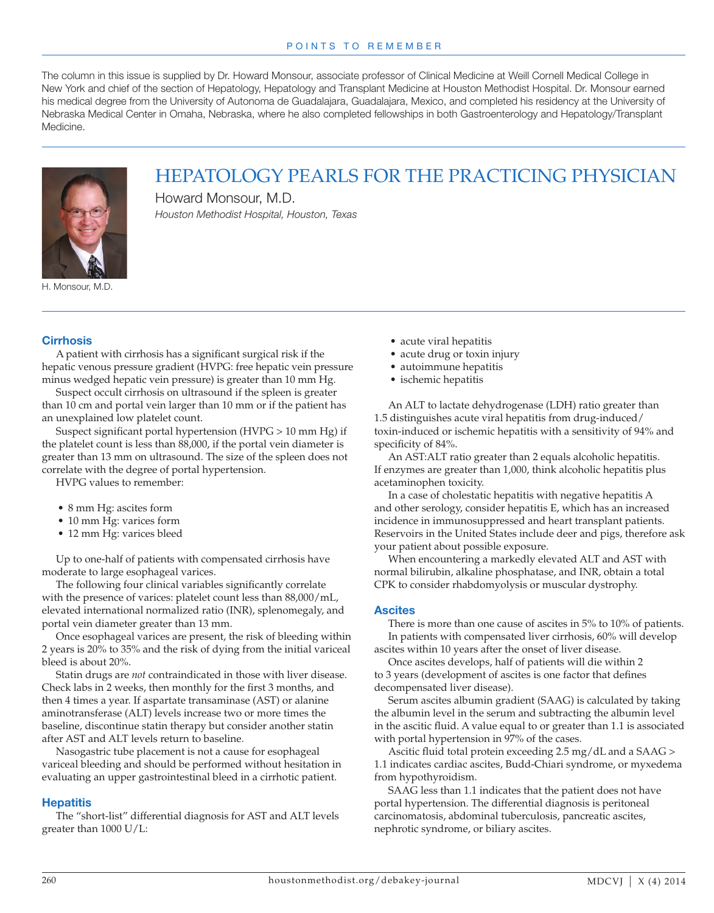The column in this issue is supplied by Dr. Howard Monsour, associate professor of Clinical Medicine at Weill Cornell Medical College in New York and chief of the section of Hepatology, Hepatology and Transplant Medicine at Houston Methodist Hospital. Dr. Monsour earned his medical degree from the University of Autonoma de Guadalajara, Guadalajara, Mexico, and completed his residency at the University of Nebraska Medical Center in Omaha, Nebraska, where he also completed fellowships in both Gastroenterology and Hepatology/Transplant Medicine.



HEPATOLOGY PEARLS FOR THE PRACTICING PHYSICIAN

Howard Monsour, M.D. *Houston Methodist Hospital, Houston, Texas*

H. Monsour, M.D.

## **Cirrhosis**

A patient with cirrhosis has a significant surgical risk if the hepatic venous pressure gradient (HVPG: free hepatic vein pressure minus wedged hepatic vein pressure) is greater than 10 mm Hg.

Suspect occult cirrhosis on ultrasound if the spleen is greater than 10 cm and portal vein larger than 10 mm or if the patient has an unexplained low platelet count.

Suspect significant portal hypertension (HVPG > 10 mm Hg) if the platelet count is less than 88,000, if the portal vein diameter is greater than 13 mm on ultrasound. The size of the spleen does not correlate with the degree of portal hypertension.

HVPG values to remember:

- 8 mm Hg: ascites form
- 10 mm Hg: varices form
- 12 mm Hg: varices bleed

Up to one-half of patients with compensated cirrhosis have moderate to large esophageal varices.

The following four clinical variables significantly correlate with the presence of varices: platelet count less than 88,000/mL, elevated international normalized ratio (INR), splenomegaly, and portal vein diameter greater than 13 mm.

Once esophageal varices are present, the risk of bleeding within 2 years is 20% to 35% and the risk of dying from the initial variceal bleed is about 20%.

Statin drugs are *not* contraindicated in those with liver disease. Check labs in 2 weeks, then monthly for the first 3 months, and then 4 times a year. If aspartate transaminase (AST) or alanine aminotransferase (ALT) levels increase two or more times the baseline, discontinue statin therapy but consider another statin after AST and ALT levels return to baseline.

Nasogastric tube placement is not a cause for esophageal variceal bleeding and should be performed without hesitation in evaluating an upper gastrointestinal bleed in a cirrhotic patient.

## **Hepatitis**

The "short-list" differential diagnosis for AST and ALT levels greater than 1000 U/L:

- acute viral hepatitis
- acute drug or toxin injury
- autoimmune hepatitis
- ischemic hepatitis

An ALT to lactate dehydrogenase (LDH) ratio greater than 1.5 distinguishes acute viral hepatitis from drug-induced/ toxin-induced or ischemic hepatitis with a sensitivity of 94% and specificity of 84%.

An AST:ALT ratio greater than 2 equals alcoholic hepatitis. If enzymes are greater than 1,000, think alcoholic hepatitis plus acetaminophen toxicity.

In a case of cholestatic hepatitis with negative hepatitis A and other serology, consider hepatitis E, which has an increased incidence in immunosuppressed and heart transplant patients. Reservoirs in the United States include deer and pigs, therefore ask your patient about possible exposure.

When encountering a markedly elevated ALT and AST with normal bilirubin, alkaline phosphatase, and INR, obtain a total CPK to consider rhabdomyolysis or muscular dystrophy.

## **Ascites**

There is more than one cause of ascites in 5% to 10% of patients. In patients with compensated liver cirrhosis, 60% will develop ascites within 10 years after the onset of liver disease.

Once ascites develops, half of patients will die within 2 to 3 years (development of ascites is one factor that defines decompensated liver disease).

Serum ascites albumin gradient (SAAG) is calculated by taking the albumin level in the serum and subtracting the albumin level in the ascitic fluid. A value equal to or greater than 1.1 is associated with portal hypertension in 97% of the cases.

Ascitic fluid total protein exceeding 2.5 mg/dL and a SAAG > 1.1 indicates cardiac ascites, Budd-Chiari syndrome, or myxedema from hypothyroidism.

SAAG less than 1.1 indicates that the patient does not have portal hypertension. The differential diagnosis is peritoneal carcinomatosis, abdominal tuberculosis, pancreatic ascites, nephrotic syndrome, or biliary ascites.